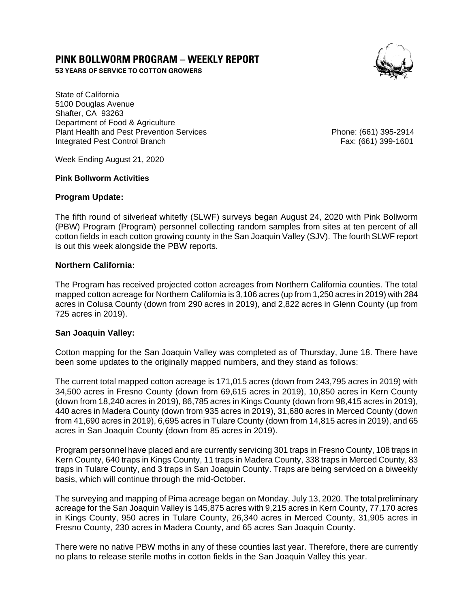# **PINK BOLLWORM PROGRAM – WEEKLY REPORT**

**53 YEARS OF SERVICE TO COTTON GROWERS** 



State of California 5100 Douglas Avenue Shafter, CA 93263 Department of Food & Agriculture Plant Health and Pest Prevention Services Phone: (661) 395-2914 Integrated Pest Control Branch Fax: (661) 399-1601

Week Ending August 21, 2020

#### **Pink Bollworm Activities**

#### **Program Update:**

The fifth round of silverleaf whitefly (SLWF) surveys began August 24, 2020 with Pink Bollworm (PBW) Program (Program) personnel collecting random samples from sites at ten percent of all cotton fields in each cotton growing county in the San Joaquin Valley (SJV). The fourth SLWF report is out this week alongside the PBW reports.

## **Northern California:**

The Program has received projected cotton acreages from Northern California counties. The total mapped cotton acreage for Northern California is 3,106 acres (up from 1,250 acres in 2019) with 284 acres in Colusa County (down from 290 acres in 2019), and 2,822 acres in Glenn County (up from 725 acres in 2019).

## **San Joaquin Valley:**

Cotton mapping for the San Joaquin Valley was completed as of Thursday, June 18. There have been some updates to the originally mapped numbers, and they stand as follows:

The current total mapped cotton acreage is 171,015 acres (down from 243,795 acres in 2019) with 34,500 acres in Fresno County (down from 69,615 acres in 2019), 10,850 acres in Kern County (down from 18,240 acres in 2019), 86,785 acres in Kings County (down from 98,415 acres in 2019), 440 acres in Madera County (down from 935 acres in 2019), 31,680 acres in Merced County (down from 41,690 acres in 2019), 6,695 acres in Tulare County (down from 14,815 acres in 2019), and 65 acres in San Joaquin County (down from 85 acres in 2019).

Program personnel have placed and are currently servicing 301 traps in Fresno County, 108 traps in Kern County, 640 traps in Kings County, 11 traps in Madera County, 338 traps in Merced County, 83 traps in Tulare County, and 3 traps in San Joaquin County. Traps are being serviced on a biweekly basis, which will continue through the mid-October.

The surveying and mapping of Pima acreage began on Monday, July 13, 2020. The total preliminary acreage for the San Joaquin Valley is 145,875 acres with 9,215 acres in Kern County, 77,170 acres in Kings County, 950 acres in Tulare County, 26,340 acres in Merced County, 31,905 acres in Fresno County, 230 acres in Madera County, and 65 acres San Joaquin County.

There were no native PBW moths in any of these counties last year. Therefore, there are currently no plans to release sterile moths in cotton fields in the San Joaquin Valley this year.